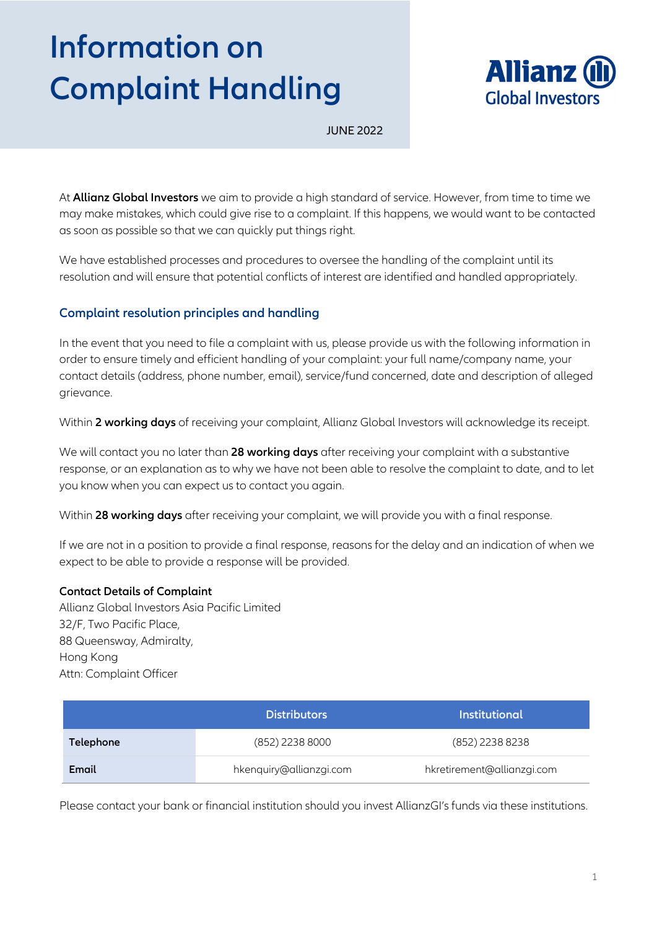## **Information on Complaint Handling**



JUNE 2022

At **Allianz Global Investors** we aim to provide a high standard of service. However, from time to time we may make mistakes, which could give rise to a complaint. If this happens, we would want to be contacted as soon as possible so that we can quickly put things right.

We have established processes and procedures to oversee the handling of the complaint until its resolution and will ensure that potential conflicts of interest are identified and handled appropriately.

## **Complaint resolution principles and handling**

In the event that you need to file a complaint with us, please provide us with the following information in order to ensure timely and efficient handling of your complaint: your full name/company name, your contact details (address, phone number, email), service/fund concerned, date and description of alleged grievance.

Within **2 working days** of receiving your complaint, Allianz Global Investors will acknowledge its receipt.

We will contact you no later than **28 working days** after receiving your complaint with a substantive response, or an explanation as to why we have not been able to resolve the complaint to date, and to let you know when you can expect us to contact you again.

Within **28 working days** after receiving your complaint, we will provide you with a final response.

If we are not in a position to provide a final response, reasons for the delay and an indication of when we expect to be able to provide a response will be provided.

## **Contact Details of Complaint**

Allianz Global Investors Asia Pacific Limited 32/F, Two Pacific Place, 88 Queensway, Admiralty, Hong Kong Attn: Complaint Officer

|           | <b>Distributors</b>     | Institutional              |
|-----------|-------------------------|----------------------------|
| Telephone | (852) 2238 8000         | (852) 2238 8238            |
| Email     | hkenquiry@allianzgi.com | hkretirement@allianzgi.com |

Please contact your bank or financial institution should you invest AllianzGI's funds via these institutions.